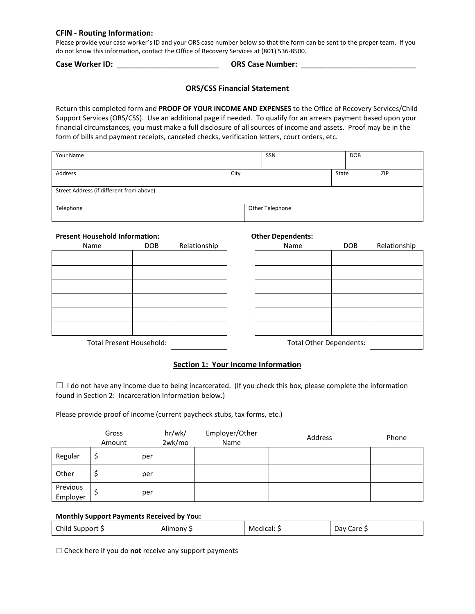#### **CFIN - Routing Information:**

Please provide your case worker's ID and your ORS case number below so that the form can be sent to the proper team. If you do not know this information, contact the Office of Recovery Services at (801) 536-8500.

**Case Worker ID:** \_\_\_\_\_\_\_\_\_\_\_\_\_\_\_\_\_\_\_\_\_\_\_\_ **ORS Case Number:** \_\_\_\_\_\_\_\_\_\_\_\_\_\_\_\_\_\_\_\_\_\_\_\_\_\_\_

# **ORS/CSS Financial Statement**

Return this completed form and **PROOF OF YOUR INCOME AND EXPENSES** to the Office of Recovery Services/Child Support Services (ORS/CSS). Use an additional page if needed. To qualify for an arrears payment based upon your financial circumstances, you must make a full disclosure of all sources of income and assets. Proof may be in the form of bills and payment receipts, canceled checks, verification letters, court orders, etc.

| Your Name                                |      | SSN             |       | <b>DOB</b> |            |
|------------------------------------------|------|-----------------|-------|------------|------------|
| Address                                  | City |                 | State |            | <b>ZIP</b> |
| Street Address (if different from above) |      |                 |       |            |            |
| Telephone                                |      | Other Telephone |       |            |            |

# **Present Household Information: Other Dependents:**

| Name                            | DOB | Relationship |
|---------------------------------|-----|--------------|
|                                 |     |              |
|                                 |     |              |
|                                 |     |              |
|                                 |     |              |
|                                 |     |              |
|                                 |     |              |
|                                 |     |              |
| <b>Total Present Household:</b> |     |              |

| Name                     | <b>DOB</b> | Relationship | Name                           | <b>DOB</b> | Relationship |
|--------------------------|------------|--------------|--------------------------------|------------|--------------|
|                          |            |              |                                |            |              |
|                          |            |              |                                |            |              |
|                          |            |              |                                |            |              |
|                          |            |              |                                |            |              |
|                          |            |              |                                |            |              |
|                          |            |              |                                |            |              |
| Total Present Household: |            |              | <b>Total Other Dependents:</b> |            |              |

# **Section 1: Your Income Information**

 $\Box$  I do not have any income due to being incarcerated. (If you check this box, please complete the information found in Section 2: Incarceration Information below.)

Please provide proof of income (current paycheck stubs, tax forms, etc.)

|                      | Gross<br>Amount | hr/wk/<br>2wk/mo | Employer/Other<br>Name | Address | Phone |
|----------------------|-----------------|------------------|------------------------|---------|-------|
| Regular              | per             |                  |                        |         |       |
| Other                | per             |                  |                        |         |       |
| Previous<br>Employer | per             |                  |                        |         |       |

#### **Monthly Support Payments Received by You:**

| Child Support \$ | Alimony S | Medical: 5 | Day Care S |
|------------------|-----------|------------|------------|
|------------------|-----------|------------|------------|

 $\Box$  Check here if you do **not** receive any support payments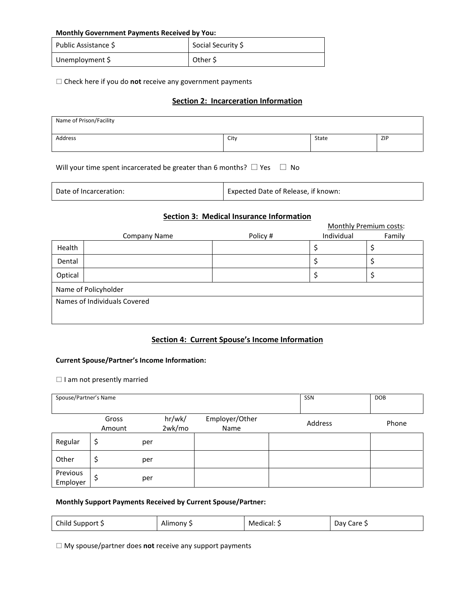#### **Monthly Government Payments Received by You:**

| Public Assistance \$ | Social Security \$ |
|----------------------|--------------------|
| Unemployment \$      | Other S            |

Check here if you do **not** receive any government payments

## **Section 2: Incarceration Information**

| Name of Prison/Facility |      |       |            |
|-------------------------|------|-------|------------|
| Address                 | City | State | <b>ZIP</b> |

Will your time spent incarcerated be greater than 6 months?  $\Box$  Yes  $\Box$  No

| Expected Date of Release, if known:<br>Date of Incarceration: |  |
|---------------------------------------------------------------|--|
|---------------------------------------------------------------|--|

# **Section 3: Medical Insurance Information**

|                              |                      | Section S. Triedical modified information |            |                        |  |  |
|------------------------------|----------------------|-------------------------------------------|------------|------------------------|--|--|
|                              |                      |                                           |            | Monthly Premium costs: |  |  |
|                              | Company Name         | Policy #                                  | Individual | Family                 |  |  |
| Health                       |                      |                                           |            |                        |  |  |
| Dental                       |                      |                                           |            |                        |  |  |
| Optical                      |                      |                                           |            |                        |  |  |
|                              | Name of Policyholder |                                           |            |                        |  |  |
| Names of Individuals Covered |                      |                                           |            |                        |  |  |
|                              |                      |                                           |            |                        |  |  |
|                              |                      |                                           |            |                        |  |  |

## **Section 4: Current Spouse's Income Information**

#### **Current Spouse/Partner's Income Information:**

 $\Box$  I am not presently married

| Spouse/Partner's Name |                 |     |                  |                        | SSN     | <b>DOB</b> |
|-----------------------|-----------------|-----|------------------|------------------------|---------|------------|
|                       | Gross<br>Amount |     | hr/wk/<br>2wk/mo | Employer/Other<br>Name | Address | Phone      |
| Regular               | \$              | per |                  |                        |         |            |
| Other                 | \$              | per |                  |                        |         |            |
| Previous<br>Employer  | S               | per |                  |                        |         |            |

## **Monthly Support Payments Received by Current Spouse/Partner:**

| Child Support \$ | Alimony S | Medical: S | Day Care S |
|------------------|-----------|------------|------------|
|------------------|-----------|------------|------------|

My spouse/partner does **not** receive any support payments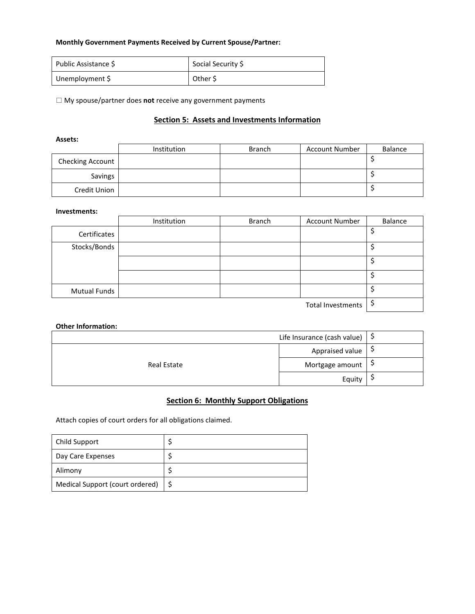#### **Monthly Government Payments Received by Current Spouse/Partner:**

| Public Assistance \$ | Social Security \$ |
|----------------------|--------------------|
| Unemployment \$      | Other \$           |

My spouse/partner does **not** receive any government payments

# **Section 5: Assets and Investments Information**

#### **Assets:**

|                  | <b>Institution</b> | <b>Branch</b> | <b>Account Number</b> | Balance |
|------------------|--------------------|---------------|-----------------------|---------|
| Checking Account |                    |               |                       |         |
| Savings          |                    |               |                       |         |
| Credit Union     |                    |               |                       |         |

#### **Investments:**

|                     | Institution | <b>Branch</b> | <b>Account Number</b>    | Balance |
|---------------------|-------------|---------------|--------------------------|---------|
| Certificates        |             |               |                          |         |
| Stocks/Bonds        |             |               |                          |         |
|                     |             |               |                          |         |
|                     |             |               |                          |         |
| <b>Mutual Funds</b> |             |               |                          |         |
|                     |             |               | <b>Total Investments</b> |         |

# **Other Information:**

|                    | Life Insurance (cash value) $\frac{5}{5}$ |    |
|--------------------|-------------------------------------------|----|
|                    | Appraised value                           | ÷, |
| <b>Real Estate</b> | Mortgage amount                           | 7  |
|                    | Equity                                    |    |

# **Section 6: Monthly Support Obligations**

Attach copies of court orders for all obligations claimed.

| Child Support                   |  |
|---------------------------------|--|
| Day Care Expenses               |  |
| Alimony                         |  |
| Medical Support (court ordered) |  |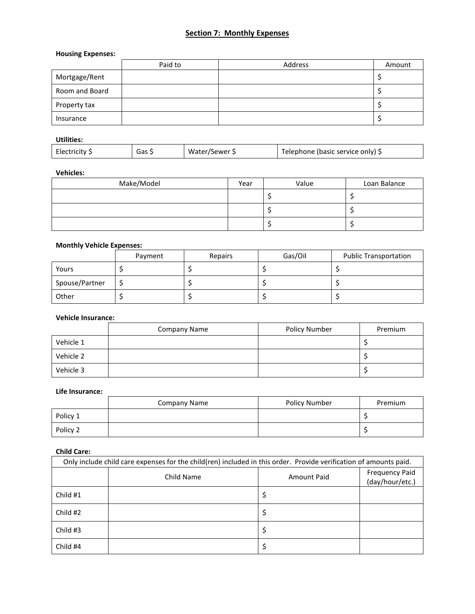# **Section 7: Monthly Expenses**

# **Housing Expenses:**

|                | Paid to | Address | Amount |
|----------------|---------|---------|--------|
| Mortgage/Rent  |         |         |        |
| Room and Board |         |         |        |
| Property tax   |         |         |        |
| Insurance      |         |         |        |

# **Utilities:**

| Electricity \$ | Gas 5 | Water/Sewer \$ | Telephone (basic service only) 5 |
|----------------|-------|----------------|----------------------------------|
|----------------|-------|----------------|----------------------------------|

# **Vehicles:**

| Make/Model | Year | Value | Loan Balance |
|------------|------|-------|--------------|
|            |      |       |              |
|            |      |       |              |
|            |      |       |              |

# **Monthly Vehicle Expenses:**

|                | Payment | Repairs | Gas/Oil | <b>Public Transportation</b> |
|----------------|---------|---------|---------|------------------------------|
| Yours          |         |         |         |                              |
| Spouse/Partner |         |         |         |                              |
| Other          |         |         |         |                              |

## **Vehicle Insurance:**

|           | Company Name | <b>Policy Number</b> | Premium |
|-----------|--------------|----------------------|---------|
| Vehicle 1 |              |                      |         |
| Vehicle 2 |              |                      |         |
| Vehicle 3 |              |                      |         |

#### **Life Insurance:**

|          | <b>Company Name</b> | Policy Number | Premium |
|----------|---------------------|---------------|---------|
| Policy 1 |                     |               |         |
| Policy 2 |                     |               |         |

# **Child Care:**

| Only include child care expenses for the child(ren) included in this order. Provide verification of amounts paid. |            |             |                                          |
|-------------------------------------------------------------------------------------------------------------------|------------|-------------|------------------------------------------|
|                                                                                                                   | Child Name | Amount Paid | <b>Frequency Paid</b><br>(day/hour/etc.) |
| Child #1                                                                                                          |            |             |                                          |
| Child #2                                                                                                          |            |             |                                          |
| Child #3                                                                                                          |            |             |                                          |
| Child #4                                                                                                          |            |             |                                          |